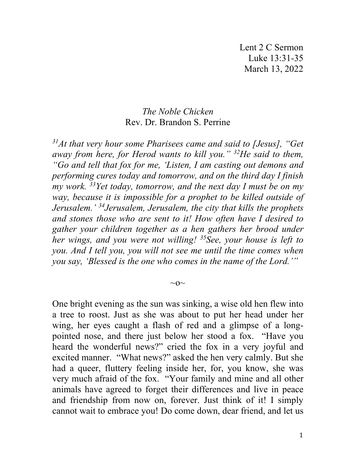## *The Noble Chicken* Rev. Dr. Brandon S. Perrine

*31At that very hour some Pharisees came and said to [Jesus], "Get away from here, for Herod wants to kill you." 32He said to them, "Go and tell that fox for me, 'Listen, I am casting out demons and performing cures today and tomorrow, and on the third day I finish my work. 33Yet today, tomorrow, and the next day I must be on my way, because it is impossible for a prophet to be killed outside of Jerusalem.' 34Jerusalem, Jerusalem, the city that kills the prophets and stones those who are sent to it! How often have I desired to gather your children together as a hen gathers her brood under her wings, and you were not willing! 35See, your house is left to you. And I tell you, you will not see me until the time comes when you say, 'Blessed is the one who comes in the name of the Lord.'"*

One bright evening as the sun was sinking, a wise old hen flew into a tree to roost. Just as she was about to put her head under her wing, her eyes caught a flash of red and a glimpse of a longpointed nose, and there just below her stood a fox. "Have you heard the wonderful news?" cried the fox in a very joyful and excited manner. "What news?" asked the hen very calmly. But she had a queer, fluttery feeling inside her, for, you know, she was very much afraid of the fox. "Your family and mine and all other animals have agreed to forget their differences and live in peace and friendship from now on, forever. Just think of it! I simply cannot wait to embrace you! Do come down, dear friend, and let us

 $\sim$ O $\sim$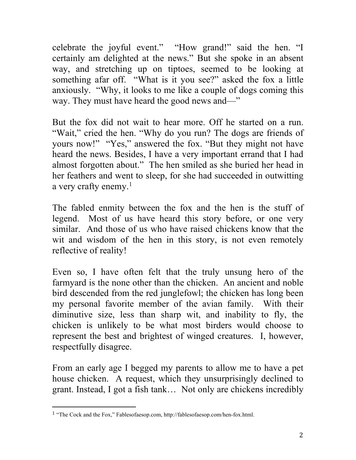celebrate the joyful event." "How grand!" said the hen. "I certainly am delighted at the news." But she spoke in an absent way, and stretching up on tiptoes, seemed to be looking at something afar off. "What is it you see?" asked the fox a little anxiously. "Why, it looks to me like a couple of dogs coming this way. They must have heard the good news and—"

But the fox did not wait to hear more. Off he started on a run. "Wait," cried the hen. "Why do you run? The dogs are friends of yours now!" "Yes," answered the fox. "But they might not have heard the news. Besides, I have a very important errand that I had almost forgotten about." The hen smiled as she buried her head in her feathers and went to sleep, for she had succeeded in outwitting a very crafty enemy.<sup>[1](#page-1-0)</sup>

The fabled enmity between the fox and the hen is the stuff of legend. Most of us have heard this story before, or one very similar. And those of us who have raised chickens know that the wit and wisdom of the hen in this story, is not even remotely reflective of reality!

Even so, I have often felt that the truly unsung hero of the farmyard is the none other than the chicken. An ancient and noble bird descended from the red junglefowl; the chicken has long been my personal favorite member of the avian family. With their diminutive size, less than sharp wit, and inability to fly, the chicken is unlikely to be what most birders would choose to represent the best and brightest of winged creatures. I, however, respectfully disagree.

From an early age I begged my parents to allow me to have a pet house chicken. A request, which they unsurprisingly declined to grant. Instead, I got a fish tank… Not only are chickens incredibly

<span id="page-1-0"></span><sup>1</sup> "The Cock and the Fox," Fablesofaesop.com, http://fablesofaesop.com/hen-fox.html.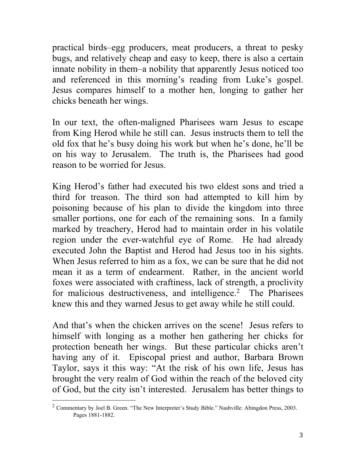practical birds–egg producers, meat producers, a threat to pesky bugs, and relatively cheap and easy to keep, there is also a certain innate nobility in them–a nobility that apparently Jesus noticed too and referenced in this morning's reading from Luke's gospel. Jesus compares himself to a mother hen, longing to gather her chicks beneath her wings.

In our text, the often-maligned Pharisees warn Jesus to escape from King Herod while he still can. Jesus instructs them to tell the old fox that he's busy doing his work but when he's done, he'll be on his way to Jerusalem. The truth is, the Pharisees had good reason to be worried for Jesus.

King Herod's father had executed his two eldest sons and tried a third for treason. The third son had attempted to kill him by poisoning because of his plan to divide the kingdom into three smaller portions, one for each of the remaining sons. In a family marked by treachery, Herod had to maintain order in his volatile region under the ever-watchful eye of Rome. He had already executed John the Baptist and Herod had Jesus too in his sights. When Jesus referred to him as a fox, we can be sure that he did not mean it as a term of endearment. Rather, in the ancient world foxes were associated with craftiness, lack of strength, a proclivity for malicious destructiveness, and intelligence.<sup>[2](#page-2-0)</sup> The Pharisees knew this and they warned Jesus to get away while he still could.

And that's when the chicken arrives on the scene! Jesus refers to himself with longing as a mother hen gathering her chicks for protection beneath her wings. But these particular chicks aren't having any of it. Episcopal priest and author, Barbara Brown Taylor, says it this way: "At the risk of his own life, Jesus has brought the very realm of God within the reach of the beloved city of God, but the city isn't interested. Jerusalem has better things to

<span id="page-2-0"></span><sup>&</sup>lt;sup>2</sup> Commentary by Joel B. Green. "The New Interpreter's Study Bible." Nashville: Abingdon Press, 2003. Pages 1881-1882.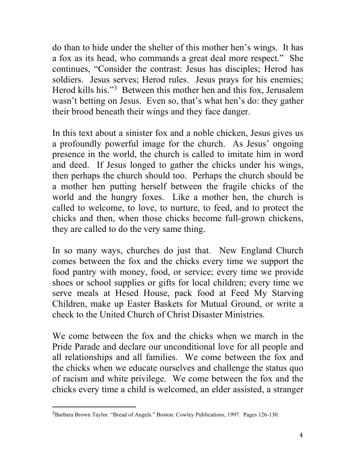do than to hide under the shelter of this mother hen's wings. It has a fox as its head, who commands a great deal more respect." She continues, "Consider the contrast: Jesus has disciples; Herod has soldiers. Jesus serves; Herod rules. Jesus prays for his enemies; Herod kills his."[3](#page-3-0) Between this mother hen and this fox, Jerusalem wasn't betting on Jesus. Even so, that's what hen's do: they gather their brood beneath their wings and they face danger.

In this text about a sinister fox and a noble chicken, Jesus gives us a profoundly powerful image for the church. As Jesus' ongoing presence in the world, the church is called to imitate him in word and deed. If Jesus longed to gather the chicks under his wings, then perhaps the church should too. Perhaps the church should be a mother hen putting herself between the fragile chicks of the world and the hungry foxes. Like a mother hen, the church is called to welcome, to love, to nurture, to feed, and to protect the chicks and then, when those chicks become full-grown chickens, they are called to do the very same thing.

In so many ways, churches do just that. New England Church comes between the fox and the chicks every time we support the food pantry with money, food, or service; every time we provide shoes or school supplies or gifts for local children; every time we serve meals at Hesed House, pack food at Feed My Starving Children, make up Easter Baskets for Mutual Ground, or write a check to the United Church of Christ Disaster Ministries.

We come between the fox and the chicks when we march in the Pride Parade and declare our unconditional love for all people and all relationships and all families. We come between the fox and the chicks when we educate ourselves and challenge the status quo of racism and white privilege. We come between the fox and the chicks every time a child is welcomed, an elder assisted, a stranger

<span id="page-3-0"></span><sup>3</sup>Barbara Brown Taylor. "Bread of Angels." Boston: Cowley Publications, 1997. Pages 126-130.